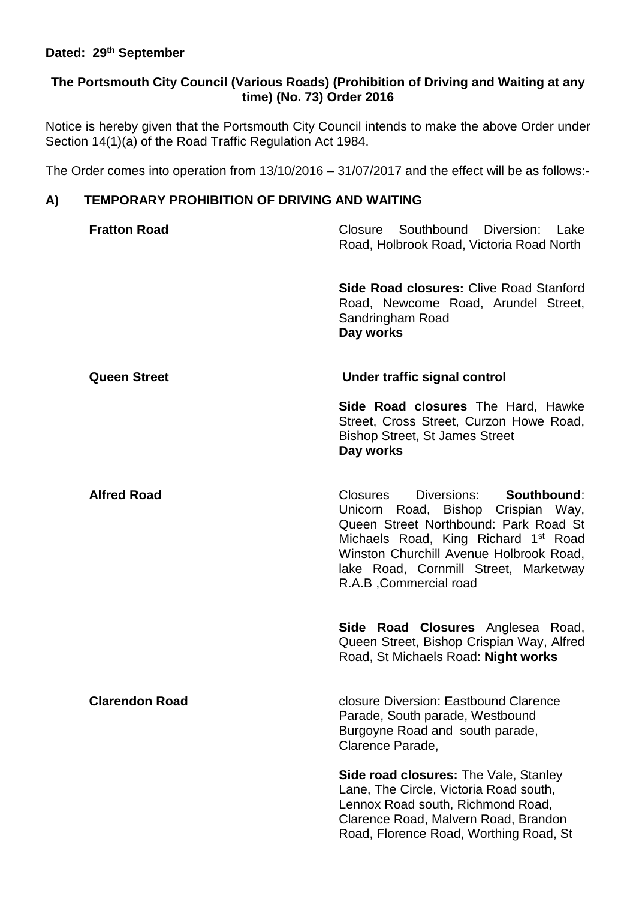### **Dated: 29th September**

## **The Portsmouth City Council (Various Roads) (Prohibition of Driving and Waiting at any time) (No. 73) Order 2016**

Notice is hereby given that the Portsmouth City Council intends to make the above Order under Section 14(1)(a) of the Road Traffic Regulation Act 1984.

The Order comes into operation from 13/10/2016 – 31/07/2017 and the effect will be as follows:-

# **A) TEMPORARY PROHIBITION OF DRIVING AND WAITING**

| <b>Fratton Road</b>   | Closure Southbound Diversion: Lake<br>Road, Holbrook Road, Victoria Road North                                                                                                                                                                                            |
|-----------------------|---------------------------------------------------------------------------------------------------------------------------------------------------------------------------------------------------------------------------------------------------------------------------|
|                       | <b>Side Road closures: Clive Road Stanford</b><br>Road, Newcome Road, Arundel Street,<br>Sandringham Road<br>Day works                                                                                                                                                    |
| <b>Queen Street</b>   | Under traffic signal control                                                                                                                                                                                                                                              |
|                       | Side Road closures The Hard, Hawke<br>Street, Cross Street, Curzon Howe Road,<br><b>Bishop Street, St James Street</b><br>Day works                                                                                                                                       |
| <b>Alfred Road</b>    | Diversions: Southbound:<br>Closures<br>Unicorn Road, Bishop Crispian Way,<br>Queen Street Northbound: Park Road St<br>Michaels Road, King Richard 1st Road<br>Winston Churchill Avenue Holbrook Road,<br>lake Road, Cornmill Street, Marketway<br>R.A.B , Commercial road |
|                       | Side Road Closures Anglesea Road,<br>Queen Street, Bishop Crispian Way, Alfred<br>Road, St Michaels Road: Night works                                                                                                                                                     |
| <b>Clarendon Road</b> | closure Diversion: Eastbound Clarence<br>Parade, South parade, Westbound<br>Burgoyne Road and south parade,<br>Clarence Parade,                                                                                                                                           |
|                       | <b>Side road closures: The Vale, Stanley</b><br>Lane, The Circle, Victoria Road south,<br>Lennox Road south, Richmond Road,<br>Clarence Road, Malvern Road, Brandon<br>Road, Florence Road, Worthing Road, St                                                             |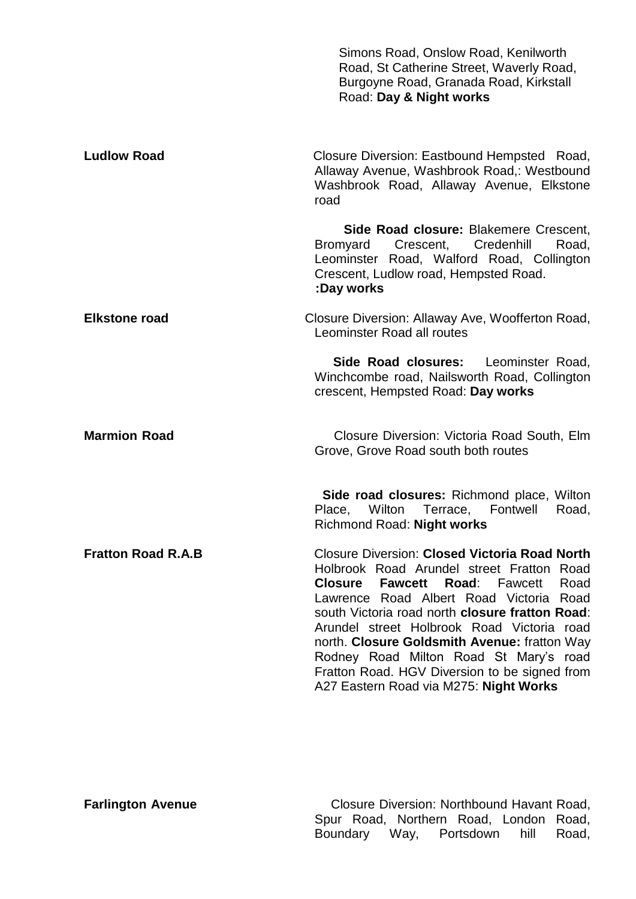|                           | Simons Road, Onslow Road, Kenilworth<br>Road, St Catherine Street, Waverly Road,<br>Burgoyne Road, Granada Road, Kirkstall<br>Road: Day & Night works                                                                                                                                                                                                                                                                                                                                                  |
|---------------------------|--------------------------------------------------------------------------------------------------------------------------------------------------------------------------------------------------------------------------------------------------------------------------------------------------------------------------------------------------------------------------------------------------------------------------------------------------------------------------------------------------------|
| <b>Ludlow Road</b>        | Closure Diversion: Eastbound Hempsted Road,<br>Allaway Avenue, Washbrook Road,: Westbound<br>Washbrook Road, Allaway Avenue, Elkstone<br>road                                                                                                                                                                                                                                                                                                                                                          |
|                           | Side Road closure: Blakemere Crescent,<br><b>Bromyard</b><br>Crescent,<br>Credenhill<br>Road,<br>Leominster Road, Walford Road, Collington<br>Crescent, Ludlow road, Hempsted Road.<br>:Day works                                                                                                                                                                                                                                                                                                      |
| <b>Elkstone road</b>      | Closure Diversion: Allaway Ave, Woofferton Road,<br>Leominster Road all routes                                                                                                                                                                                                                                                                                                                                                                                                                         |
|                           | Side Road closures:<br>Leominster Road,<br>Winchcombe road, Nailsworth Road, Collington<br>crescent, Hempsted Road: Day works                                                                                                                                                                                                                                                                                                                                                                          |
| <b>Marmion Road</b>       | Closure Diversion: Victoria Road South, Elm<br>Grove, Grove Road south both routes                                                                                                                                                                                                                                                                                                                                                                                                                     |
|                           | <b>Side road closures:</b> Richmond place, Wilton<br>Wilton<br>Terrace,<br>Fontwell<br>Road,<br>Place,<br>Richmond Road: Night works                                                                                                                                                                                                                                                                                                                                                                   |
| <b>Fratton Road R.A.B</b> | <b>Closure Diversion: Closed Victoria Road North</b><br>Holbrook Road Arundel street Fratton Road<br><b>Closure</b><br><b>Fawcett</b><br><b>Road:</b> Fawcett<br>Road<br>Lawrence Road Albert Road Victoria Road<br>south Victoria road north closure fratton Road:<br>Arundel street Holbrook Road Victoria road<br>north. Closure Goldsmith Avenue: fratton Way<br>Rodney Road Milton Road St Mary's road<br>Fratton Road. HGV Diversion to be signed from<br>A27 Eastern Road via M275: Night Works |

**Farlington Avenue** Closure Diversion: Northbound Havant Road, Spur Road, Northern Road, London Road, Boundary Way, Portsdown hill Road,